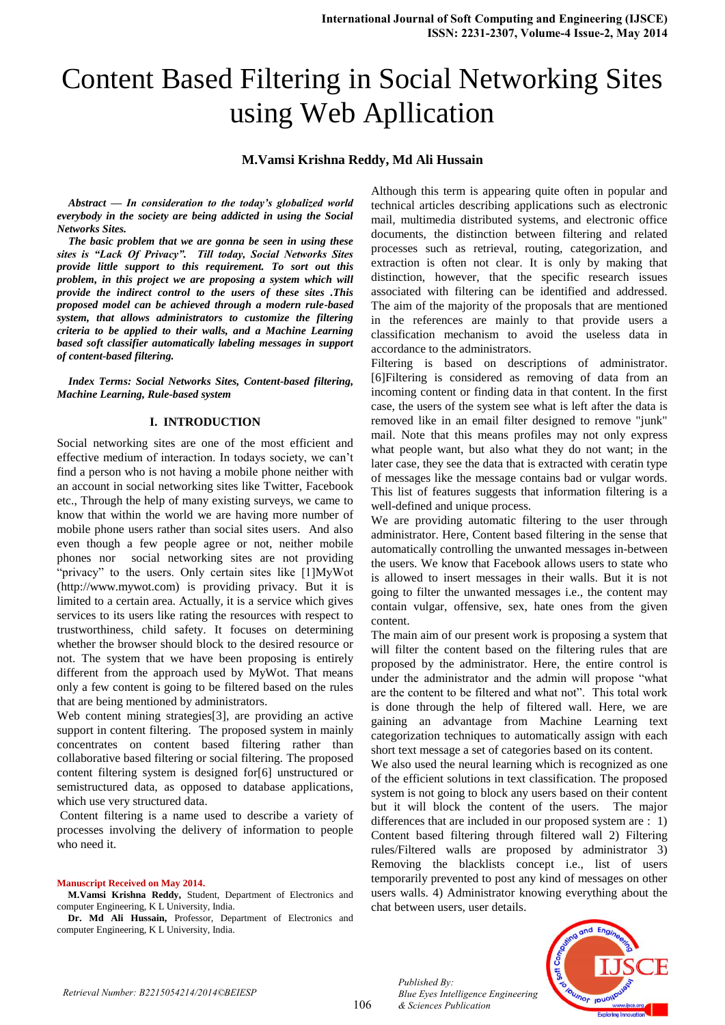# Content Based Filtering in Social Networking Sites using Web Apllication

#### **M.Vamsi Krishna Reddy, Md Ali Hussain**

*Abstract — In consideration to the today's globalized world everybody in the society are being addicted in using the Social Networks Sites.*

*The basic problem that we are gonna be seen in using these sites is "Lack Of Privacy". Till today, Social Networks Sites provide little support to this requirement. To sort out this problem, in this project we are proposing a system which will provide the indirect control to the users of these sites .This proposed model can be achieved through a modern rule-based system, that allows administrators to customize the filtering criteria to be applied to their walls, and a Machine Learning based soft classifier automatically labeling messages in support of content-based filtering.*

*Index Terms: Social Networks Sites, Content-based filtering, Machine Learning, Rule-based system*

### **I. INTRODUCTION**

Social networking sites are one of the most efficient and effective medium of interaction. In todays society, we can't find a person who is not having a mobile phone neither with an account in social networking sites like Twitter, Facebook etc., Through the help of many existing surveys, we came to know that within the world we are having more number of mobile phone users rather than social sites users. And also even though a few people agree or not, neither mobile phones nor social networking sites are not providing "privacy" to the users. Only certain sites like [1]MyWot (http://www.mywot.com) is providing privacy. But it is limited to a certain area. Actually, it is a service which gives services to its users like rating the resources with respect to trustworthiness, child safety. It focuses on determining whether the browser should block to the desired resource or not. The system that we have been proposing is entirely different from the approach used by MyWot. That means only a few content is going to be filtered based on the rules that are being mentioned by administrators.

Web content mining strategies<sup>[3]</sup>, are providing an active support in content filtering. The proposed system in mainly concentrates on content based filtering rather than collaborative based filtering or social filtering. The proposed content filtering system is designed for[6] unstructured or semistructured data, as opposed to database applications, which use very structured data.

Content filtering is a name used to describe a variety of processes involving the delivery of information to people who need it.

#### **Manuscript Received on May 2014.**

**M.Vamsi Krishna Reddy,** Student, Department of Electronics and computer Engineering, K L University, India.

**Dr. Md Ali Hussain,** Professor, Department of Electronics and computer Engineering, K L University, India.

Although this term is appearing quite often in popular and technical articles describing applications such as electronic mail, multimedia distributed systems, and electronic office documents, the distinction between filtering and related processes such as retrieval, routing, categorization, and extraction is often not clear. It is only by making that distinction, however, that the specific research issues associated with filtering can be identified and addressed. The aim of the majority of the proposals that are mentioned in the references are mainly to that provide users a classification mechanism to avoid the useless data in accordance to the administrators.

Filtering is based on descriptions of administrator. [6]Filtering is considered as removing of data from an incoming content or finding data in that content. In the first case, the users of the system see what is left after the data is removed like in an email filter designed to remove "junk" mail. Note that this means profiles may not only express what people want, but also what they do not want; in the later case, they see the data that is extracted with ceratin type of messages like the message contains bad or vulgar words. This list of features suggests that information filtering is a well-defined and unique process.

We are providing automatic filtering to the user through administrator. Here, Content based filtering in the sense that automatically controlling the unwanted messages in-between the users. We know that Facebook allows users to state who is allowed to insert messages in their walls. But it is not going to filter the unwanted messages i.e., the content may contain vulgar, offensive, sex, hate ones from the given content.

The main aim of our present work is proposing a system that will filter the content based on the filtering rules that are proposed by the administrator. Here, the entire control is under the administrator and the admin will propose "what are the content to be filtered and what not". This total work is done through the help of filtered wall. Here, we are gaining an advantage from Machine Learning text categorization techniques to automatically assign with each short text message a set of categories based on its content.

We also used the neural learning which is recognized as one of the efficient solutions in text classification. The proposed system is not going to block any users based on their content but it will block the content of the users. The major differences that are included in our proposed system are : 1) Content based filtering through filtered wall 2) Filtering rules/Filtered walls are proposed by administrator 3) Removing the blacklists concept i.e., list of users temporarily prevented to post any kind of messages on other users walls. 4) Administrator knowing everything about the chat between users, user details.



*Published By:*

*& Sciences Publication* 

*Blue Eyes Intelligence Engineering*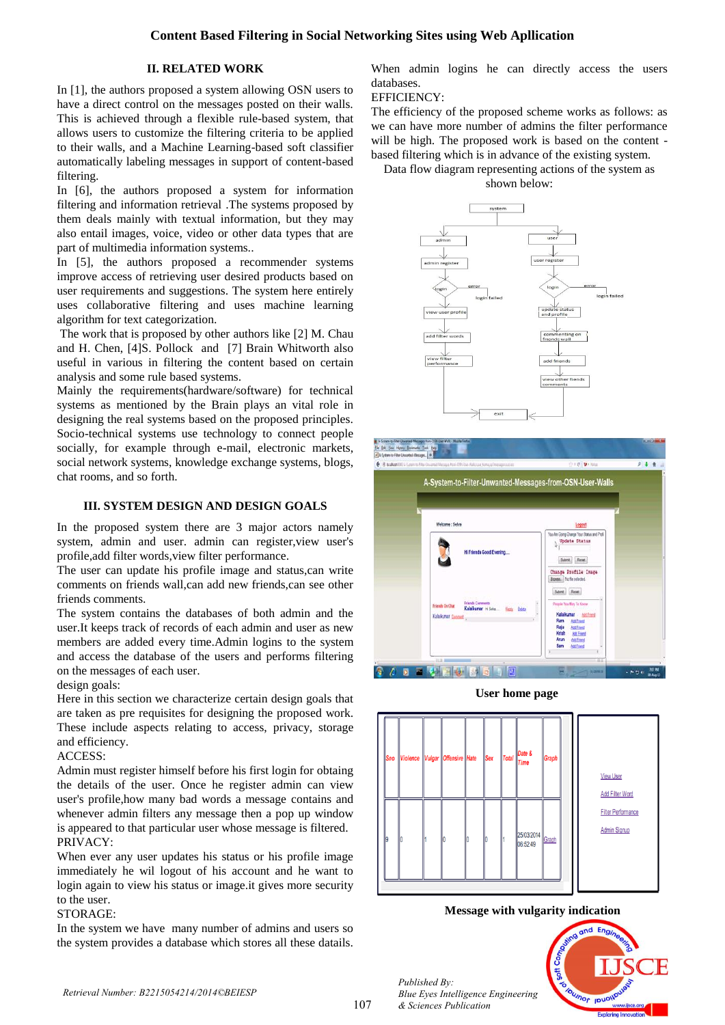## **Content Based Filtering in Social Networking Sites using Web Apllication**

## **II. RELATED WORK**

In [1], the authors proposed a system allowing OSN users to have a direct control on the messages posted on their walls. This is achieved through a flexible rule-based system, that allows users to customize the filtering criteria to be applied to their walls, and a Machine Learning-based soft classifier automatically labeling messages in support of content-based filtering.

In [6], the authors proposed a system for information filtering and information retrieval .The systems proposed by them deals mainly with textual information, but they may also entail images, voice, video or other data types that are part of multimedia information systems..

In [5], the authors proposed a recommender systems improve access of retrieving user desired products based on user requirements and suggestions. The system here entirely uses collaborative filtering and uses machine learning algorithm for text categorization.

The work that is proposed by other authors like [2] M. Chau and H. Chen, [4]S. Pollock and [7] Brain Whitworth also useful in various in filtering the content based on certain analysis and some rule based systems.

Mainly the requirements(hardware/software) for technical systems as mentioned by the Brain plays an vital role in designing the real systems based on the proposed principles. Socio-technical systems use technology to connect people socially, for example through e-mail, electronic markets, social network systems, knowledge exchange systems, blogs, chat rooms, and so forth.

## **III. SYSTEM DESIGN AND DESIGN GOALS**

In the proposed system there are 3 major actors namely system, admin and user. admin can register,view user's profile,add filter words,view filter performance.

The user can update his profile image and status,can write comments on friends wall,can add new friends,can see other friends comments.

The system contains the databases of both admin and the user.It keeps track of records of each admin and user as new members are added every time.Admin logins to the system and access the database of the users and performs filtering on the messages of each user.

design goals:

Here in this section we characterize certain design goals that are taken as pre requisites for designing the proposed work. These include aspects relating to access, privacy, storage and efficiency.

### ACCESS:

Admin must register himself before his first login for obtaing the details of the user. Once he register admin can view user's profile,how many bad words a message contains and whenever admin filters any message then a pop up window is appeared to that particular user whose message is filtered. PRIVACY:

When ever any user updates his status or his profile image immediately he wil logout of his account and he want to login again to view his status or image.it gives more security to the user.

#### STORAGE:

In the system we have many number of admins and users so the system provides a database which stores all these datails.

When admin logins he can directly access the users databases.

## EFFICIENCY:

The efficiency of the proposed scheme works as follows: as we can have more number of admins the filter performance will be high. The proposed work is based on the content based filtering which is in advance of the existing system.

Data flow diagram representing actions of the system as









#### **Message with vulgarity indication**



*Retrieval Number: B2215054214/2014©BEIESP*

*Published By:*

*& Sciences Publication* 

*Blue Eyes Intelligence Engineering*